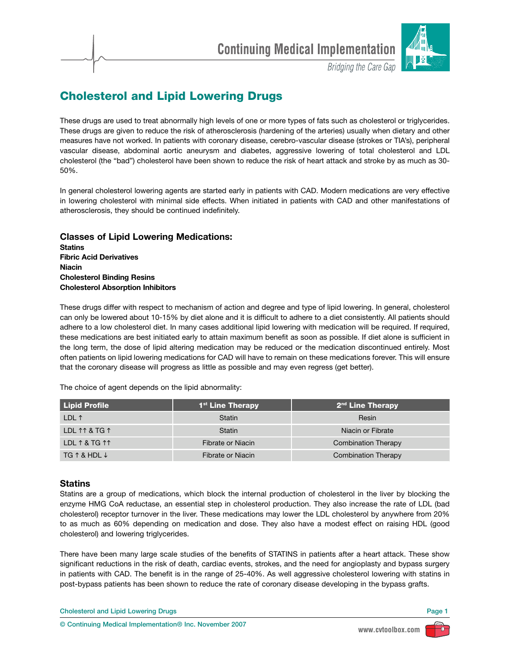

**Bridging the Care Gap** 

# **Cholesterol and Lipid Lowering Drugs**

These drugs are used to treat abnormally high levels of one or more types of fats such as cholesterol or triglycerides. These drugs are given to reduce the risk of atherosclerosis (hardening of the arteries) usually when dietary and other measures have not worked. In patients with coronary disease, cerebro-vascular disease (strokes or TIA's), peripheral vascular disease, abdominal aortic aneurysm and diabetes, aggressive lowering of total cholesterol and LDL cholesterol (the "bad") cholesterol have been shown to reduce the risk of heart attack and stroke by as much as 30- 50%.

In general cholesterol lowering agents are started early in patients with CAD. Modern medications are very effective in lowering cholesterol with minimal side effects. When initiated in patients with CAD and other manifestations of atherosclerosis, they should be continued indefinitely.

**Classes of Lipid Lowering Medications: Statins Fibric Acid Derivatives Niacin Cholesterol Binding Resins Cholesterol Absorption Inhibitors**

These drugs differ with respect to mechanism of action and degree and type of lipid lowering. In general, cholesterol can only be lowered about 10-15% by diet alone and it is difficult to adhere to a diet consistently. All patients should adhere to a low cholesterol diet. In many cases additional lipid lowering with medication will be required. If required, these medications are best initiated early to attain maximum benefit as soon as possible. If diet alone is sufficient in the long term, the dose of lipid altering medication may be reduced or the medication discontinued entirely. Most often patients on lipid lowering medications for CAD will have to remain on these medications forever. This will ensure that the coronary disease will progress as little as possible and may even regress (get better).

The choice of agent depends on the lipid abnormality:

| <b>Lipid Profile</b>            | 1 <sup>st</sup> Line Therapy | 2 <sup>nd</sup> Line Therapy |
|---------------------------------|------------------------------|------------------------------|
| LDL 1                           | <b>Statin</b>                | Resin                        |
| LDL 11 & TG 1                   | <b>Statin</b>                | Niacin or Fibrate            |
| LDL 1 & TG 11                   | Fibrate or Niacin            | Combination Therapy          |
| $TG \uparrow \& HDL \downarrow$ | Fibrate or Niacin            | Combination Therapy          |

# **Statins**

Statins are a group of medications, which block the internal production of cholesterol in the liver by blocking the enzyme HMG CoA reductase, an essential step in cholesterol production. They also increase the rate of LDL (bad cholesterol) receptor turnover in the liver. These medications may lower the LDL cholesterol by anywhere from 20% to as much as 60% depending on medication and dose. They also have a modest effect on raising HDL (good cholesterol) and lowering triglycerides.

There have been many large scale studies of the benefits of STATINS in patients after a heart attack. These show significant reductions in the risk of death, cardiac events, strokes, and the need for angioplasty and bypass surgery in patients with CAD. The benefit is in the range of 25-40%. As well aggressive cholesterol lowering with statins in post-bypass patients has been shown to reduce the rate of coronary disease developing in the bypass grafts.

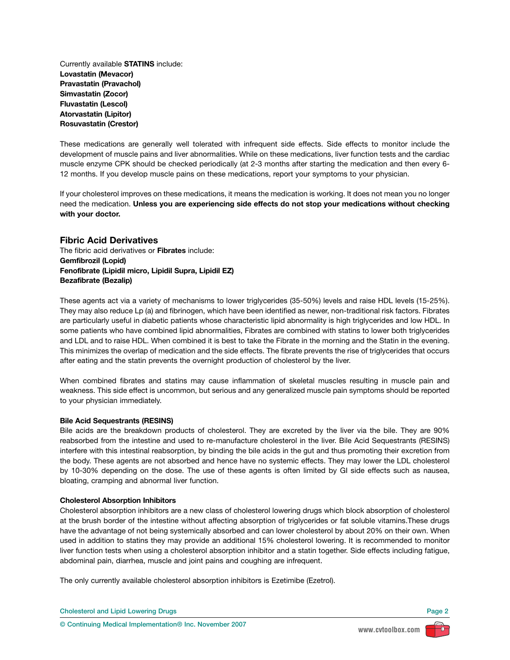Currently available **STATINS** include: **Lovastatin (Mevacor) Pravastatin (Pravachol) Simvastatin (Zocor) Fluvastatin (Lescol) Atorvastatin (Lipitor) Rosuvastatin (Crestor)**

These medications are generally well tolerated with infrequent side effects. Side effects to monitor include the development of muscle pains and liver abnormalities. While on these medications, liver function tests and the cardiac muscle enzyme CPK should be checked periodically (at 2-3 months after starting the medication and then every 6- 12 months. If you develop muscle pains on these medications, report your symptoms to your physician.

If your cholesterol improves on these medications, it means the medication is working. It does not mean you no longer need the medication. **Unless you are experiencing side effects do not stop your medications without checking with your doctor.**

## **Fibric Acid Derivatives**

The fibric acid derivatives or **Fibrates** include: **Gemfibrozil (Lopid) Fenofibrate (Lipidil micro, Lipidil Supra, Lipidil EZ) Bezafibrate (Bezalip)**

These agents act via a variety of mechanisms to lower triglycerides (35-50%) levels and raise HDL levels (15-25%). They may also reduce Lp (a) and fibrinogen, which have been identified as newer, non-traditional risk factors. Fibrates are particularly useful in diabetic patients whose characteristic lipid abnormality is high triglycerides and low HDL. In some patients who have combined lipid abnormalities, Fibrates are combined with statins to lower both triglycerides and LDL and to raise HDL. When combined it is best to take the Fibrate in the morning and the Statin in the evening. This minimizes the overlap of medication and the side effects. The fibrate prevents the rise of triglycerides that occurs after eating and the statin prevents the overnight production of cholesterol by the liver.

When combined fibrates and statins may cause inflammation of skeletal muscles resulting in muscle pain and weakness. This side effect is uncommon, but serious and any generalized muscle pain symptoms should be reported to your physician immediately.

## **Bile Acid Sequestrants (RESINS)**

Bile acids are the breakdown products of cholesterol. They are excreted by the liver via the bile. They are 90% reabsorbed from the intestine and used to re-manufacture cholesterol in the liver. Bile Acid Sequestrants (RESINS) interfere with this intestinal reabsorption, by binding the bile acids in the gut and thus promoting their excretion from the body. These agents are not absorbed and hence have no systemic effects. They may lower the LDL cholesterol by 10-30% depending on the dose. The use of these agents is often limited by GI side effects such as nausea, bloating, cramping and abnormal liver function.

## **Cholesterol Absorption Inhibitors**

Cholesterol absorption inhibitors are a new class of cholesterol lowering drugs which block absorption of cholesterol at the brush border of the intestine without affecting absorption of triglycerides or fat soluble vitamins.These drugs have the advantage of not being systemically absorbed and can lower cholesterol by about 20% on their own. When used in addition to statins they may provide an additional 15% cholesterol lowering. It is recommended to monitor liver function tests when using a cholesterol absorption inhibitor and a statin together. Side effects including fatigue, abdominal pain, diarrhea, muscle and joint pains and coughing are infrequent.

The only currently available cholesterol absorption inhibitors is Ezetimibe (Ezetrol).